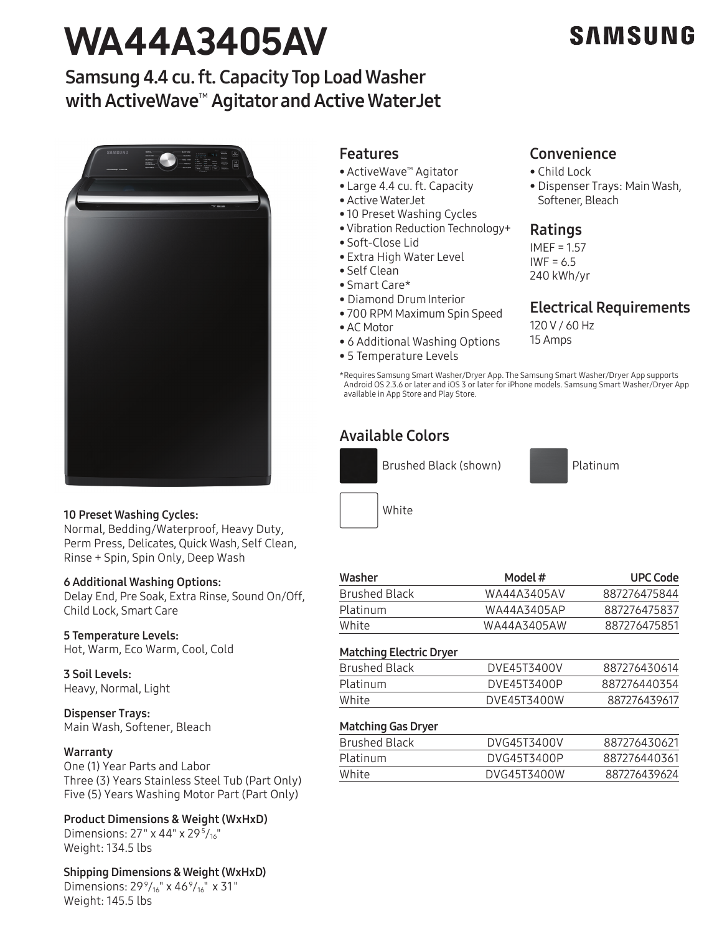# **WA44A3405AV**

## **SAMSUNG**

### Samsung 4.4 cu. ft. Capacity Top Load Washer with ActiveWave<sup>™</sup> Agitator and Active WaterJet



#### 10 Preset Washing Cycles:

Normal, Bedding/Waterproof, Heavy Duty, Perm Press, Delicates, Quick Wash, Self Clean, Rinse + Spin, Spin Only, Deep Wash

#### 6 Additional Washing Options:

Delay End, Pre Soak, Extra Rinse, Sound On/Off, Child Lock, Smart Care

#### 5 Temperature Levels:

Hot, Warm, Eco Warm, Cool, Cold

#### 3 Soil Levels:

Heavy, Normal, Light

Dispenser Trays: Main Wash, Softener, Bleach

#### **Warranty**

One (1) Year Parts and Labor Three (3) Years Stainless Steel Tub (Part Only) Five (5) Years Washing Motor Part (Part Only)

Product Dimensions & Weight (WxHxD)

Dimensions: 27" x 44" x 29 $\frac{5}{16}$ " Weight: 134.5 lbs

Shipping Dimensions & Weight (WxHxD) Dimensions: 29 $\frac{9}{16}$ " x 46 $\frac{9}{16}$ " x 31" Weight: 145.5 lbs

#### Features

- ActiveWave™ Agitator
- Large 4.4 cu. ft. Capacity
- Active WaterJet
- 10 Preset Washing Cycles
- Vibration Reduction Technology+
- Soft-Close Lid
- Extra High Water Level
- Self Clean
- Smart Care\*
- Diamond DrumInterior
- 700 RPM Maximum Spin Speed
- AC Motor
- 6 Additional Washing Options
- 5 Temperature Levels

#### Convenience

- Child Lock
- Dispenser Trays: Main Wash, Softener, Bleach

#### Ratings

IMEF = 1.57  $IWF = 6.5$ 240 kWh/yr

#### Electrical Requirements

120 V / 60 Hz 15 Amps

\*Requires Samsung Smart Washer/Dryer App. The Samsung Smart Washer/Dryer App supports Android OS 2.3.6 or later and iOS 3 or later for iPhone models. Samsung Smart Washer/Dryer App available in App Store and Play Store.

#### Available Colors



Platinum



| Washer               | Model #     | <b>UPC Code</b> |
|----------------------|-------------|-----------------|
| <b>Brushed Black</b> | WA44A3405AV | 887276475844    |
| Platinum             | WA44A3405AP | 887276475837    |
| White                | WA44A3405AW | 887276475851    |
|                      |             |                 |

| Matching Electric Dryer |             |              |  |
|-------------------------|-------------|--------------|--|
| Brushed Black           | DVE45T3400V | 887276430614 |  |
| Platinum                | DVE45T3400P | 887276440354 |  |
| White                   | DVE45T3400W | 887276439617 |  |
|                         |             |              |  |

#### Matching Gas Dryer

| Brushed Black | DVG45T3400V | 887276430621 |
|---------------|-------------|--------------|
| Platinum      | DVG45T3400P | 887276440361 |
| White         | DVG45T3400W | 887276439624 |
|               |             |              |